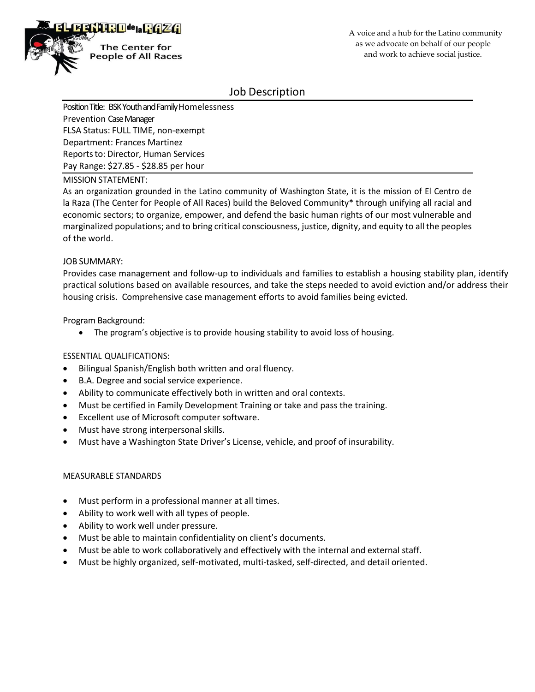

# Job Description

Position Title: BSK Youth and Family Homelessness Prevention Case Manager FLSA Status: FULL TIME, non-exempt Department: Frances Martinez Reports to: Director, Human Services Pay Range: \$27.85 - \$28.85 per hour

#### MISSION STATEMENT:

As an organization grounded in the Latino community of Washington State, it is the mission of El Centro de la Raza (The Center for People of All Races) build the Beloved Community\* through unifying all racial and economic sectors; to organize, empower, and defend the basic human rights of our most vulnerable and marginalized populations; and to bring critical consciousness, justice, dignity, and equity to all the peoples of the world.

#### JOB SUMMARY:

Provides case management and follow-up to individuals and families to establish a housing stability plan, identify practical solutions based on available resources, and take the steps needed to avoid eviction and/or address their housing crisis. Comprehensive case management efforts to avoid families being evicted.

Program Background:

• The program's objective is to provide housing stability to avoid loss of housing.

### ESSENTIAL QUALIFICATIONS:

- Bilingual Spanish/English both written and oral fluency.
- B.A. Degree and social service experience.
- Ability to communicate effectively both in written and oral contexts.
- Must be certified in Family Development Training or take and pass the training.
- Excellent use of Microsoft computer software.
- Must have strong interpersonal skills.
- Must have a Washington State Driver's License, vehicle, and proof of insurability.

#### MEASURABLE STANDARDS

- Must perform in a professional manner at all times.
- Ability to work well with all types of people.
- Ability to work well under pressure.
- Must be able to maintain confidentiality on client's documents.
- Must be able to work collaboratively and effectively with the internal and external staff.
- Must be highly organized, self-motivated, multi-tasked, self-directed, and detail oriented.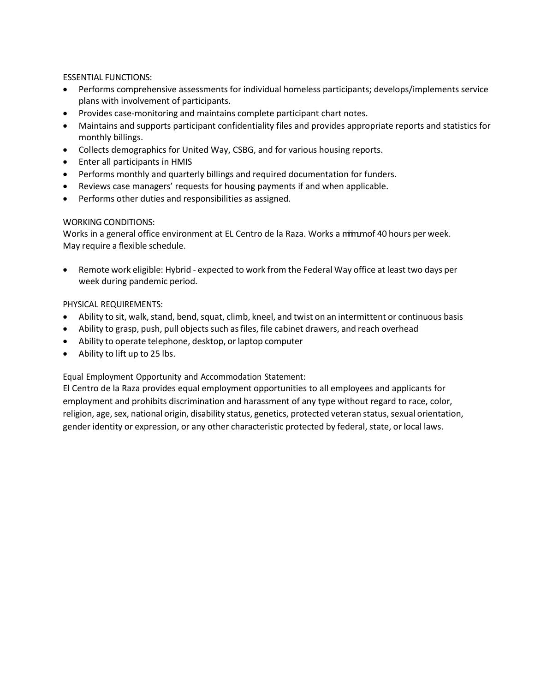ESSENTIAL FUNCTIONS:

- Performs comprehensive assessments for individual homeless participants; develops/implements service plans with involvement of participants.
- Provides case-monitoring and maintains complete participant chart notes.
- Maintains and supports participant confidentiality files and provides appropriate reports and statistics for monthly billings.
- Collects demographics for United Way, CSBG, and for various housing reports.
- Enter all participants in HMIS
- Performs monthly and quarterly billings and required documentation for funders.
- Reviews case managers' requests for housing payments if and when applicable.
- Performs other duties and responsibilities as assigned.

### WORKING CONDITIONS:

Works in a general office environment at EL Centro de la Raza. Works a minumof 40 hours per week. May require a flexible schedule.

• Remote work eligible: Hybrid - expected to work from the Federal Way office at least two days per week during pandemic period.

### PHYSICAL REQUIREMENTS:

- Ability to sit, walk, stand, bend, squat, climb, kneel, and twist on an intermittent or continuous basis
- Ability to grasp, push, pull objects such as files, file cabinet drawers, and reach overhead
- Ability to operate telephone, desktop, or laptop computer
- Ability to lift up to 25 lbs.

Equal Employment Opportunity and Accommodation Statement:

El Centro de la Raza provides equal employment opportunities to all employees and applicants for employment and prohibits discrimination and harassment of any type without regard to race, color, religion, age, sex, national origin, disability status, genetics, protected veteran status, sexual orientation, gender identity or expression, or any other characteristic protected by federal, state, or local laws.